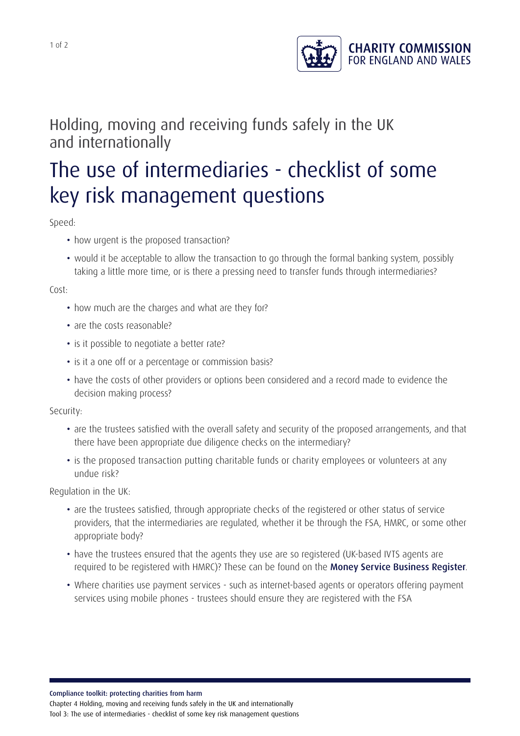

## Holding, moving and receiving funds safely in the UK and internationally

## The use of intermediaries - checklist of some key risk management questions

Speed:

- how urgent is the proposed transaction?
- would it be acceptable to allow the transaction to go through the formal banking system, possibly taking a little more time, or is there a pressing need to transfer funds through intermediaries?

Cost:

- how much are the charges and what are they for?
- are the costs reasonable?
- is it possible to negotiate a better rate?
- is it a one off or a percentage or commission basis?
- have the costs of other providers or options been considered and a record made to evidence the decision making process?

Security:

- are the trustees satisfied with the overall safety and security of the proposed arrangements, and that there have been appropriate due diligence checks on the intermediary?
- is the proposed transaction putting charitable funds or charity employees or volunteers at any undue risk?

Regulation in the UK:

- are the trustees satisfied, through appropriate checks of the registered or other status of service providers, that the intermediaries are regulated, whether it be through the FSA, HMRC, or some other appropriate body?
- have the trustees ensured that the agents they use are so registered (UK-based IVTS agents are required to be registered with HMRC)? These can be found on the Money Service [Business](http://www.hmrc.gov.uk/mlr/msbregister.htm) Register.
- Where charities use payment services such as internet-based agents or operators offering payment services using mobile phones - trustees should ensure they are registered with the FSA